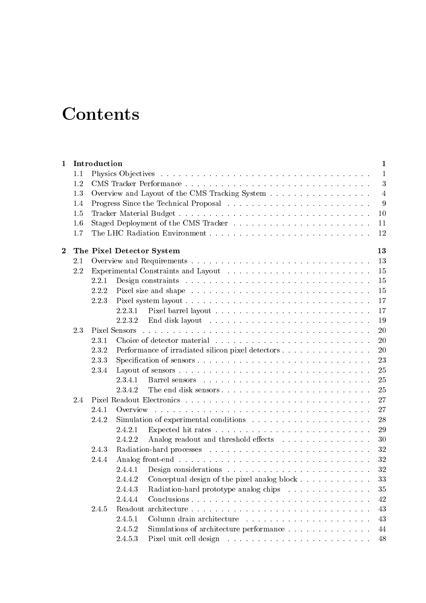## **Contents**

| 1                       |     | Introduction |                                                                                                                             | $\mathbf{1}$ |
|-------------------------|-----|--------------|-----------------------------------------------------------------------------------------------------------------------------|--------------|
|                         | 1.1 |              |                                                                                                                             | 1            |
|                         | 1.2 |              |                                                                                                                             | 3            |
|                         | 1.3 |              | Overview and Layout of the CMS Tracking System                                                                              | 4            |
|                         | 1.4 |              |                                                                                                                             | 9            |
|                         | 1.5 |              |                                                                                                                             | 10           |
|                         | 1.6 |              |                                                                                                                             | 11           |
|                         | 1.7 |              |                                                                                                                             | 12           |
| $\overline{\mathbf{2}}$ |     |              | The Pixel Detector System                                                                                                   | 13           |
|                         | 2.1 |              |                                                                                                                             | 13           |
|                         | 2.2 |              |                                                                                                                             | 15           |
|                         |     | 2.2.1        |                                                                                                                             | 15           |
|                         |     | 2.2.2        |                                                                                                                             | 15           |
|                         |     | 2.2.3        |                                                                                                                             | 17           |
|                         |     |              | 2.2.3.1                                                                                                                     | 17           |
|                         |     |              | 2.2.3.2                                                                                                                     | 19           |
|                         | 2.3 |              | Pixel Sensors                                                                                                               | 20           |
|                         |     | 2.3.1        |                                                                                                                             | 20           |
|                         |     | 2.3.2        | Performance of irradiated silicon pixel detectors                                                                           | 20           |
|                         |     | 2.3.3        | Specification of sensors                                                                                                    | 23           |
|                         |     | 2.3.4        |                                                                                                                             | 25           |
|                         |     |              | 2.3.4.1                                                                                                                     | 25           |
|                         |     |              | 2.3.4.2<br>The end disk sensors                                                                                             | 25           |
|                         | 2.4 |              |                                                                                                                             | 27           |
|                         |     | 2.4.1        | Overview<br>and a construction of the construction of the construction of the construction of the construction of the const | 27           |
|                         |     | 2.4.2        | Simulation of experimental conditions                                                                                       | 28           |
|                         |     |              | 2.4.2.1                                                                                                                     | 29           |
|                         |     |              | 2.4.2.2<br>Analog readout and threshold effects                                                                             | 30           |
|                         |     | 2.4.3        |                                                                                                                             | 32           |
|                         |     | 2.4.4        |                                                                                                                             | 32           |
|                         |     |              | 2.4.4.1                                                                                                                     | 32           |
|                         |     |              |                                                                                                                             | 33           |
|                         |     |              | 2.4.4.2                                                                                                                     |              |
|                         |     |              | 2.4.4.3<br>Radiation-hard prototype analog chips                                                                            | 35           |
|                         |     |              | 2.4.4.4<br>Conclusions                                                                                                      | 42           |
|                         |     | 2.4.5        |                                                                                                                             | 43           |
|                         |     |              | 2.4.5.1                                                                                                                     | 43           |
|                         |     |              | 2.4.5.2<br>Simulations of architecture performance                                                                          | 44           |
|                         |     |              | 2.4.5.3                                                                                                                     | 48           |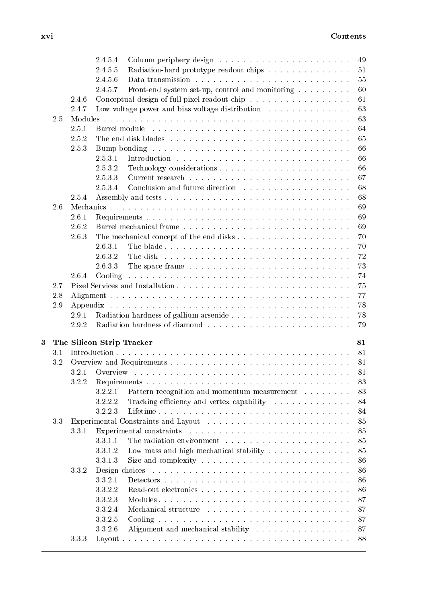|     |       | 2.4.5.4                                                                                                                                                                                                                                                | 49 |
|-----|-------|--------------------------------------------------------------------------------------------------------------------------------------------------------------------------------------------------------------------------------------------------------|----|
|     |       | 2.4.5.5<br>Radiation-hard prototype readout chips                                                                                                                                                                                                      | 51 |
|     |       | 2.4.5.6                                                                                                                                                                                                                                                | 55 |
|     |       | 2.4.5.7<br>Front-end system set-up, control and monitoring                                                                                                                                                                                             | 60 |
|     | 2.4.6 | Conceptual design of full pixel readout chip                                                                                                                                                                                                           | 61 |
|     | 2.4.7 | Low voltage power and bias voltage distribution $\ldots \ldots \ldots \ldots$                                                                                                                                                                          | 63 |
| 2.5 |       |                                                                                                                                                                                                                                                        | 63 |
|     | 2.5.1 |                                                                                                                                                                                                                                                        | 64 |
|     | 2.5.2 |                                                                                                                                                                                                                                                        | 65 |
|     | 2.5.3 |                                                                                                                                                                                                                                                        | 66 |
|     |       | 2.5.3.1                                                                                                                                                                                                                                                | 66 |
|     |       | 2.5.3.2                                                                                                                                                                                                                                                | 66 |
|     |       |                                                                                                                                                                                                                                                        |    |
|     |       | 2.5.3.3                                                                                                                                                                                                                                                | 67 |
|     |       | 2.5.3.4                                                                                                                                                                                                                                                | 68 |
|     | 2.5.4 |                                                                                                                                                                                                                                                        | 68 |
| 2.6 |       |                                                                                                                                                                                                                                                        | 69 |
|     | 2.6.1 |                                                                                                                                                                                                                                                        | 69 |
|     | 2.6.2 |                                                                                                                                                                                                                                                        | 69 |
|     | 2.6.3 |                                                                                                                                                                                                                                                        | 70 |
|     |       | 2.6.3.1<br>The blade                                                                                                                                                                                                                                   | 70 |
|     |       | 2.6.3.2                                                                                                                                                                                                                                                | 72 |
|     |       | 2.6.3.3                                                                                                                                                                                                                                                | 73 |
|     | 2.6.4 | Cooling<br>a construction of the construction of the construction of the construction of the construction of the construction                                                                                                                          | 74 |
| 2.7 |       |                                                                                                                                                                                                                                                        | 75 |
| 2.8 |       |                                                                                                                                                                                                                                                        | 77 |
| 2.9 |       |                                                                                                                                                                                                                                                        | 78 |
|     | 2.9.1 |                                                                                                                                                                                                                                                        | 78 |
|     | 2.9.2 |                                                                                                                                                                                                                                                        | 79 |
|     |       |                                                                                                                                                                                                                                                        |    |
| 3   |       | The Silicon Strip Tracker                                                                                                                                                                                                                              | 81 |
| 3.1 |       |                                                                                                                                                                                                                                                        | 81 |
| 3.2 |       |                                                                                                                                                                                                                                                        | 81 |
|     | 3.2.1 |                                                                                                                                                                                                                                                        | 81 |
|     | 3.2.2 |                                                                                                                                                                                                                                                        | 83 |
|     |       | 3.2.2.1<br>Pattern recognition and momentum measurement                                                                                                                                                                                                | 83 |
|     |       | Tracking efficiency and vertex capability<br>3.2.2.2                                                                                                                                                                                                   | 84 |
|     |       | 3.2.2.3                                                                                                                                                                                                                                                | 84 |
| 3.3 |       |                                                                                                                                                                                                                                                        | 85 |
|     | 3.3.1 |                                                                                                                                                                                                                                                        | 85 |
|     |       | 3.3.1.1                                                                                                                                                                                                                                                | 85 |
|     |       | 3.3.1.2                                                                                                                                                                                                                                                | 85 |
|     |       | 3.3.1.3                                                                                                                                                                                                                                                | 86 |
|     | 3.3.2 | Design choices<br><u>. A series and a series are a series and a series and a series and a series and a series and a series and a series and a series and a series and a series of the series of the series of the series of the series of the seri</u> | 86 |
|     |       | 3.3.2.1                                                                                                                                                                                                                                                | 86 |
|     |       | 3.3.2.2                                                                                                                                                                                                                                                | 86 |
|     |       | 3.3.2.3                                                                                                                                                                                                                                                | 87 |
|     |       | 3.3.2.4                                                                                                                                                                                                                                                | 87 |
|     |       |                                                                                                                                                                                                                                                        |    |
|     |       | 3.3.2.5                                                                                                                                                                                                                                                | 87 |
|     |       | 3.3.2.6<br>Alignment and mechanical stability                                                                                                                                                                                                          | 87 |
|     | 3.3.3 |                                                                                                                                                                                                                                                        | 88 |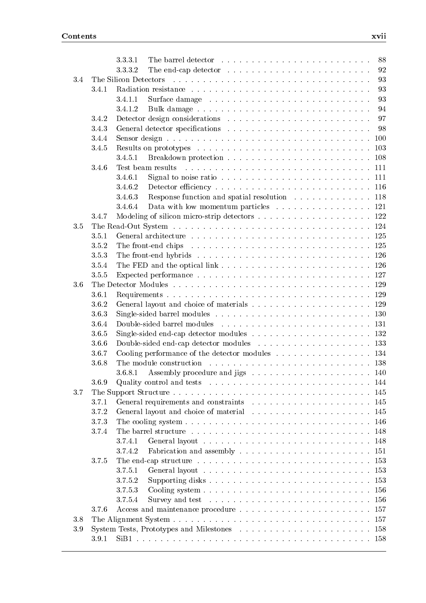|     |                | 88<br>3.3.3.1                                                                                                  |
|-----|----------------|----------------------------------------------------------------------------------------------------------------|
|     |                | 3.3.3.2<br>92<br>The end-cap detector $\ldots \ldots \ldots \ldots \ldots \ldots \ldots \ldots$                |
| 3.4 |                | 93                                                                                                             |
|     | 3.4.1          | 93                                                                                                             |
|     |                | 3.4.1.1<br>93                                                                                                  |
|     |                | 3.4.1.2<br>94                                                                                                  |
|     | 3.4.2          | 97                                                                                                             |
|     | 3.4.3          | 98                                                                                                             |
|     | 3.4.4          | 100                                                                                                            |
|     | 3.4.5          | 103                                                                                                            |
|     |                | 3.4.5.1<br>Test beam results                                                                                   |
|     | 3.4.6          |                                                                                                                |
|     |                | 3.4.6.1<br>Signal to noise ratio $\ldots \ldots \ldots \ldots \ldots \ldots \ldots \ldots \ldots \ldots 111$   |
|     |                | 3.4.6.2<br>3.4.6.3                                                                                             |
|     |                | Response function and spatial resolution 118                                                                   |
|     |                | 3.4.6.4<br>Data with low momentum particles $\ldots \ldots \ldots \ldots \ldots 121$                           |
|     | 3.4.7          |                                                                                                                |
| 3.5 | 3.5.1          |                                                                                                                |
|     |                |                                                                                                                |
|     | 3.5.2          |                                                                                                                |
|     | 3.5.3          |                                                                                                                |
|     | 3.5.4<br>3.5.5 |                                                                                                                |
| 3.6 |                | 129                                                                                                            |
|     |                |                                                                                                                |
|     | 3.6.1<br>3.6.2 | 129                                                                                                            |
|     | 3.6.3          |                                                                                                                |
|     | 3.6.4          |                                                                                                                |
|     |                |                                                                                                                |
|     | 3.6.5          |                                                                                                                |
|     | 3.6.6<br>3.6.7 |                                                                                                                |
|     | 3.6.8          |                                                                                                                |
|     |                | -140                                                                                                           |
|     |                |                                                                                                                |
| 3.7 | 3.6.9          | Quality control and tests $\ldots \ldots \ldots \ldots \ldots \ldots \ldots \ldots \ldots \ldots 144$          |
|     | 3.7.1          |                                                                                                                |
|     | 3.7.2          |                                                                                                                |
|     | 3.7.3          |                                                                                                                |
|     | 3.7.4          |                                                                                                                |
|     |                | 3.7.4.1                                                                                                        |
|     |                | 3.7.4.2<br>Fabrication and assembly $\ldots \ldots \ldots \ldots \ldots \ldots \ldots \ldots 151$              |
|     | 3.7.5          | -153                                                                                                           |
|     |                | 3.7.5.1                                                                                                        |
|     |                | 3.7.5.2<br>Supporting disks $\ldots \ldots \ldots \ldots \ldots \ldots \ldots \ldots \ldots \ldots \ldots 153$ |
|     |                | 3.7.5.3<br>156                                                                                                 |
|     |                | 3.7.5.4<br>156                                                                                                 |
|     | 3.7.6          |                                                                                                                |
| 3.8 |                |                                                                                                                |
| 3.9 |                |                                                                                                                |
|     | 3.9.1          |                                                                                                                |
|     |                |                                                                                                                |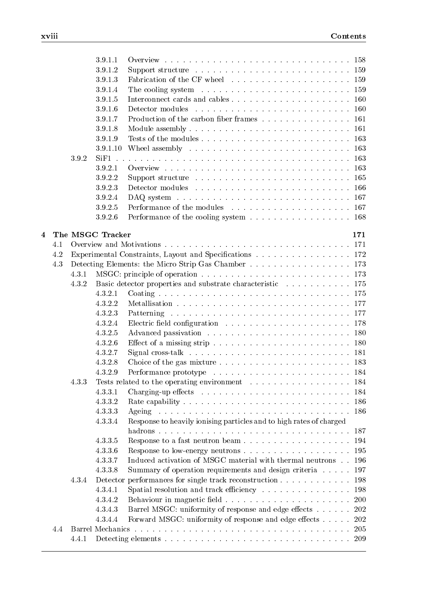|   |     |       | 3.9.1.1          |                                                                                            | -158       |
|---|-----|-------|------------------|--------------------------------------------------------------------------------------------|------------|
|   |     |       | 3.9.1.2          | Support structure $\ldots \ldots \ldots \ldots \ldots \ldots \ldots \ldots \ldots 159$     |            |
|   |     |       | 3.9.1.3          |                                                                                            |            |
|   |     |       | 3.9.1.4          | The cooling system $\ldots \ldots \ldots \ldots \ldots \ldots \ldots \ldots \ldots 159$    |            |
|   |     |       | 3.9.1.5          |                                                                                            |            |
|   |     |       | 3.9.1.6          |                                                                                            | 160        |
|   |     |       | 3.9.1.7          | Production of the carbon fiber frames                                                      | 161        |
|   |     |       | 3.9.1.8          |                                                                                            | 161        |
|   |     |       | 3.9.1.9          |                                                                                            | 163        |
|   |     |       | 3.9.1.10         | Wheel assembly $\dots \dots \dots \dots \dots \dots \dots \dots \dots \dots$               | 163        |
|   |     | 3.9.2 | SiF1             |                                                                                            | 163        |
|   |     |       | 3.9.2.1          |                                                                                            | 163        |
|   |     |       | 3.9.2.2          |                                                                                            | 165        |
|   |     |       | 3.9.2.3          |                                                                                            | 166        |
|   |     |       | 3.9.2.4          | DAQ system $\ldots \ldots \ldots \ldots \ldots \ldots \ldots \ldots \ldots \ldots$         | 167        |
|   |     |       | 3.9.2.5          |                                                                                            | 167        |
|   |     |       | 3.9.2.6          | Performance of the cooling system 168                                                      |            |
| 4 |     |       | The MSGC Tracker |                                                                                            | 171        |
|   | 4.1 |       |                  |                                                                                            | 171        |
|   | 4.2 |       |                  | Experimental Constraints, Layout and Specifications 172                                    |            |
|   | 4.3 |       |                  | Detecting Elements: the Micro Strip Gas Chamber 173                                        |            |
|   |     | 4.3.1 |                  |                                                                                            |            |
|   |     | 4.3.2 |                  | Basic detector properties and substrate characteristic 175                                 |            |
|   |     |       | 4.3.2.1          |                                                                                            |            |
|   |     |       | 4.3.2.2          |                                                                                            |            |
|   |     |       | 4.3.2.3          |                                                                                            |            |
|   |     |       | 4.3.2.4          | Electric field configuration $\ldots \ldots \ldots \ldots \ldots \ldots \ldots \ldots 178$ |            |
|   |     |       | 4.3.2.5          |                                                                                            | 180        |
|   |     |       | 4.3.2.6          |                                                                                            | 180        |
|   |     |       | 4.3.2.7          | Signal cross-talk $\ldots \ldots \ldots \ldots \ldots \ldots \ldots \ldots \ldots$         | 181        |
|   |     |       | 4.3.2.8          | Choice of the gas mixture $\ldots \ldots \ldots \ldots \ldots \ldots \ldots$               | 183        |
|   |     |       | 4.3.2.9          |                                                                                            |            |
|   |     | 4.3.3 |                  |                                                                                            | -184       |
|   |     |       | 4.3.3.1          |                                                                                            |            |
|   |     |       | 4.3.3.2          |                                                                                            | 186        |
|   |     |       | 4.3.3.3          |                                                                                            | 186        |
|   |     |       | 4.3.3.4          | Response to heavily ionising particles and to high rates of charged                        |            |
|   |     |       | 4.3.3.5          |                                                                                            | 194        |
|   |     |       | 4.3.3.6          |                                                                                            | 195        |
|   |     |       | 4.3.3.7          | Induced activation of MSGC material with thermal neutrons $\,$                             | 196        |
|   |     |       | 4.3.3.8          | Summary of operation requirements and design criteria                                      | 197        |
|   |     | 4.3.4 |                  | Detector performances for single track reconstruction                                      | 198        |
|   |     |       | 4.3.4.1          | Spatial resolution and track efficiency                                                    | 198        |
|   |     |       | 4.3.4.2          |                                                                                            | <b>200</b> |
|   |     |       | 4.3.4.3          | Barrel MSGC: uniformity of response and edge effects                                       | 202        |
|   |     |       | 4.3.4.4          | Forward MSGC: uniformity of response and edge effects                                      | 202        |
|   | 4.4 |       |                  |                                                                                            | 205        |
|   |     | 4.4.1 |                  |                                                                                            |            |
|   |     |       |                  |                                                                                            |            |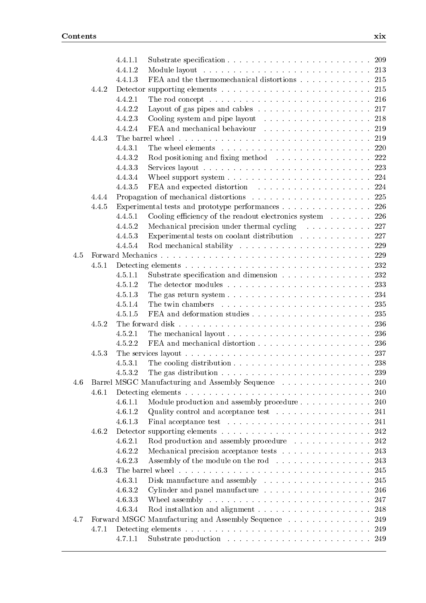|     |       | 4.4.1.1 |                                                                                                  |
|-----|-------|---------|--------------------------------------------------------------------------------------------------|
|     |       | 4.4.1.2 |                                                                                                  |
|     |       | 4.4.1.3 | FEA and the thermomechanical distortions 215                                                     |
|     | 4.4.2 |         |                                                                                                  |
|     |       | 4.4.2.1 | The rod concept $\ldots \ldots \ldots \ldots \ldots \ldots \ldots \ldots \ldots \ldots 216$      |
|     |       | 4.4.2.2 | Layout of gas pipes and cables $\ldots \ldots \ldots \ldots \ldots \ldots \ldots 217$            |
|     |       | 4.4.2.3 | Cooling system and pipe layout 218                                                               |
|     |       | 4.4.2.4 | FEA and mechanical behaviour 219                                                                 |
|     | 4.4.3 |         |                                                                                                  |
|     |       | 4.4.3.1 | The wheel elements $\ldots \ldots \ldots \ldots \ldots \ldots \ldots \ldots \ldots 220$          |
|     |       | 4.4.3.2 | Rod positioning and fixing method $\ldots \ldots \ldots \ldots \ldots 222$                       |
|     |       | 4.4.3.3 |                                                                                                  |
|     |       | 4.4.3.4 | Wheel support system $\ldots \ldots \ldots \ldots \ldots \ldots \ldots \ldots 224$               |
|     |       | 4.4.3.5 |                                                                                                  |
|     | 4.4.4 |         |                                                                                                  |
|     | 4.4.5 |         | Experimental tests and prototype performances 226                                                |
|     |       | 4.4.5.1 | Cooling efficiency of the readout electronics system $\ldots$ 226                                |
|     |       | 4.4.5.2 | Mechanical precision under thermal cycling 227                                                   |
|     |       | 4.4.5.3 | Experimental tests on coolant distribution $\ldots \ldots \ldots \ldots 227$                     |
|     |       | 4.4.5.4 |                                                                                                  |
| 4.5 |       |         |                                                                                                  |
|     | 4.5.1 |         |                                                                                                  |
|     |       | 4.5.1.1 | Substrate specification and dimension 232                                                        |
|     |       | 4.5.1.2 | The detector modules $\ldots \ldots \ldots \ldots \ldots \ldots \ldots \ldots 233$               |
|     |       | 4.5.1.3 |                                                                                                  |
|     |       | 4.5.1.4 |                                                                                                  |
|     |       | 4.5.1.5 |                                                                                                  |
|     | 4.5.2 |         |                                                                                                  |
|     |       | 4.5.2.1 | The mechanical layout $\ldots \ldots \ldots \ldots \ldots \ldots \ldots \ldots \ldots$ 236       |
|     |       | 4.5.2.2 |                                                                                                  |
|     | 4.5.3 |         |                                                                                                  |
|     |       | 4.5.3.1 | The cooling distribution $\ldots \ldots \ldots \ldots \ldots \ldots \ldots \ldots 238$           |
|     |       | 4.5.3.2 | The gas distribution $\ldots \ldots \ldots \ldots \ldots \ldots \ldots \ldots \ldots \ldots 239$ |
| 4.6 |       |         | Barrel MSGC Manufacturing and Assembly Sequence  240                                             |
|     | 4.6.1 |         |                                                                                                  |
|     |       | 4.6.1.1 | Module production and assembly procedure<br>240                                                  |
|     |       | 4.6.1.2 | Quality control and acceptance test $\ldots \ldots \ldots \ldots \ldots 241$                     |
|     |       | 4.6.1.3 |                                                                                                  |
|     | 4.6.2 |         |                                                                                                  |
|     |       | 4.6.2.1 | Rod production and assembly procedure<br>242                                                     |
|     |       | 4.6.2.2 | Mechanical precision acceptance tests 243                                                        |
|     |       | 4.6.2.3 | Assembly of the module on the rod 243                                                            |
|     | 4.6.3 |         | 245                                                                                              |
|     |       | 4.6.3.1 | Disk manufacture and assembly $\ldots \ldots \ldots \ldots \ldots \ldots$<br>245                 |
|     |       | 4.6.3.2 | Cylinder and panel manufacture 246                                                               |
|     |       | 4.6.3.3 | Wheel assembly $\ldots \ldots \ldots \ldots \ldots \ldots \ldots \ldots \ldots \ldots 247$       |
|     |       | 4.6.3.4 | 248                                                                                              |
| 4.7 |       |         | Forward MSGC Manufacturing and Assembly Sequence<br>249                                          |
|     | 4.7.1 |         |                                                                                                  |
|     |       | 4.7.1.1 |                                                                                                  |
|     |       |         |                                                                                                  |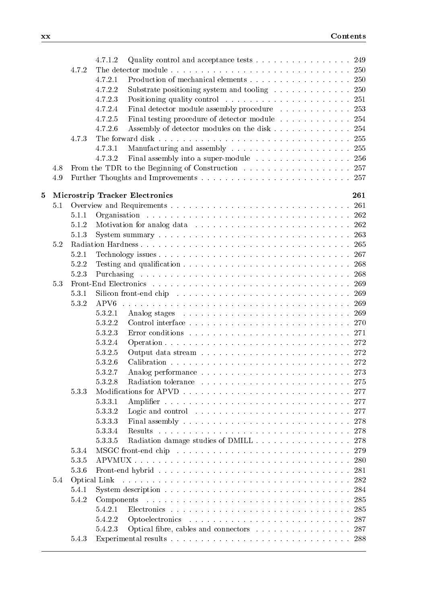|          |     |           | 4.7.1.2<br>Quality control and acceptance tests $\ldots \ldots \ldots \ldots \ldots 249$                                     |     |
|----------|-----|-----------|------------------------------------------------------------------------------------------------------------------------------|-----|
|          |     | 4.7.2     |                                                                                                                              |     |
|          |     |           | 4.7.2.1<br>Production of mechanical elements 250                                                                             |     |
|          |     |           | 4.7.2.2<br>Substrate positioning system and tooling 250                                                                      |     |
|          |     |           | 4.7.2.3                                                                                                                      |     |
|          |     |           | 4.7.2.4<br>Final detector module assembly procedure 253                                                                      |     |
|          |     |           | 4.7.2.5<br>Final testing procedure of detector module 254                                                                    |     |
|          |     |           | 4.7.2.6<br>Assembly of detector modules on the disk 254                                                                      |     |
|          |     | 4.7.3     |                                                                                                                              |     |
|          |     |           | 4.7.3.1                                                                                                                      |     |
|          |     |           | 4.7.3.2<br>Final assembly into a super-module 256                                                                            |     |
|          | 4.8 |           | From the TDR to the Beginning of Construction 257                                                                            |     |
|          | 4.9 |           |                                                                                                                              |     |
|          |     |           |                                                                                                                              |     |
| $\bf{5}$ |     |           | <b>Microstrip Tracker Electronics</b>                                                                                        | 261 |
|          | 5.1 |           |                                                                                                                              |     |
|          |     | 5.1.1     |                                                                                                                              |     |
|          |     | $5.1.2\,$ |                                                                                                                              |     |
|          |     | 5.1.3     |                                                                                                                              |     |
|          | 5.2 |           |                                                                                                                              |     |
|          |     | 5.2.1     |                                                                                                                              |     |
|          |     | 5.2.2     |                                                                                                                              |     |
|          |     | 5.2.3     |                                                                                                                              |     |
|          | 5.3 |           |                                                                                                                              |     |
|          |     | 5.3.1     |                                                                                                                              |     |
|          |     | 5.3.2     | APV <sub>6</sub>                                                                                                             |     |
|          |     |           | 5.3.2.1                                                                                                                      |     |
|          |     |           | 5.3.2.2                                                                                                                      |     |
|          |     |           | 5.3.2.3<br>Error conditions $\ldots \ldots \ldots \ldots \ldots \ldots \ldots \ldots \ldots \ldots 271$                      |     |
|          |     |           | 5.3.2.4                                                                                                                      |     |
|          |     |           | 5.3.2.5                                                                                                                      |     |
|          |     |           | 5.3.2.6                                                                                                                      |     |
|          |     |           | 5.3.2.7                                                                                                                      |     |
|          |     |           | 5.3.2.8                                                                                                                      |     |
|          |     | 5.3.3     |                                                                                                                              |     |
|          |     |           | 5.3.3.1                                                                                                                      |     |
|          |     |           | 5.3.3.2<br>Logic and control $\dots \dots \dots \dots \dots \dots \dots \dots \dots \dots$                                   | 277 |
|          |     |           | 5.3.3.3<br>Final assembly $\ldots \ldots \ldots \ldots \ldots \ldots \ldots \ldots \ldots \ldots \ldots 278$                 |     |
|          |     |           | 5.3.3.4                                                                                                                      |     |
|          |     |           | Radiation damage studies of DMILL<br>5.3.3.5                                                                                 | 278 |
|          |     | 5.3.4     |                                                                                                                              | 279 |
|          |     | 5.3.5     |                                                                                                                              |     |
|          |     | 5.3.6     | Front-end hybrid $\ldots \ldots \ldots \ldots \ldots \ldots \ldots \ldots \ldots \ldots \ldots$                              | 281 |
|          | 5.4 |           | Optical Link<br>المتحاولة والمتحاولة والمتحاولة والمتحاولة والمتحاولة والمتحاولة والمتحاولة والمتحاولة والمتحاولة والمتحاولة | 282 |
|          |     | 5.4.1     | System description $\ldots \ldots \ldots \ldots \ldots \ldots \ldots \ldots \ldots \ldots \ldots \ldots 284$                 |     |
|          |     | 5.4.2     |                                                                                                                              | 285 |
|          |     |           | 5.4.2.1                                                                                                                      | 285 |
|          |     |           | 5.4.2.2                                                                                                                      | 287 |
|          |     |           | 5.4.2.3<br>Optical fibre, cables and connectors 287                                                                          |     |
|          |     | 5.4.3     |                                                                                                                              | 288 |
|          |     |           |                                                                                                                              |     |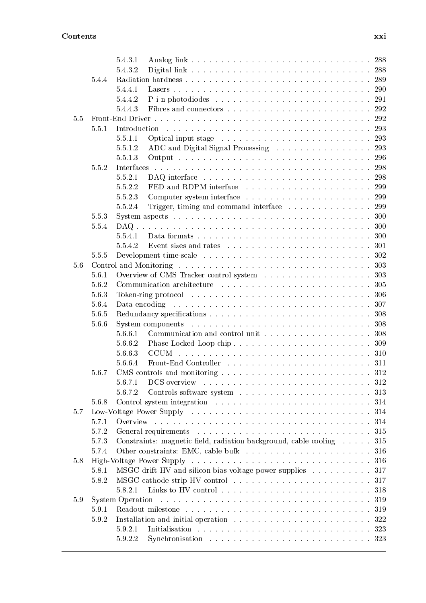|     |       | 5.4.3.1                                                                                                                                   |
|-----|-------|-------------------------------------------------------------------------------------------------------------------------------------------|
|     |       | 5.4.3.2                                                                                                                                   |
|     | 5.4.4 |                                                                                                                                           |
|     |       | 5.4.4.1                                                                                                                                   |
|     |       | 5.4.4.2                                                                                                                                   |
|     |       | 5.4.4.3<br>292                                                                                                                            |
| 5.5 |       |                                                                                                                                           |
|     | 5.5.1 | Introduction                                                                                                                              |
|     |       | 5.5.1.1                                                                                                                                   |
|     |       | ADC and Digital Signal Processing 293<br>5.5.1.2                                                                                          |
|     |       | 5.5.1.3                                                                                                                                   |
|     | 5.5.2 | Interfaces                                                                                                                                |
|     |       | 5.5.2.1<br>298                                                                                                                            |
|     |       | 5.5.2.2                                                                                                                                   |
|     |       | 5.5.2.3                                                                                                                                   |
|     |       | 5.5.2.4<br>Trigger, timing and command interface<br>299                                                                                   |
|     | 5.5.3 | System aspects $\ldots \ldots \ldots \ldots \ldots \ldots \ldots \ldots \ldots \ldots \ldots$<br>300                                      |
|     | 5.5.4 | 300                                                                                                                                       |
|     |       | 5.5.4.1<br>300                                                                                                                            |
|     |       | 5.5.4.2<br>301                                                                                                                            |
|     | 5.5.5 | 302                                                                                                                                       |
| 5.6 |       | 303                                                                                                                                       |
|     | 5.6.1 | 303                                                                                                                                       |
|     | 5.6.2 | 305                                                                                                                                       |
|     | 5.6.3 | 306                                                                                                                                       |
|     | 5.6.4 | 307                                                                                                                                       |
|     | 5.6.5 | 308                                                                                                                                       |
|     | 5.6.6 | 308                                                                                                                                       |
|     |       | 5.6.6.1<br>308                                                                                                                            |
|     |       | 5.6.6.2<br>309                                                                                                                            |
|     |       | 5.6.6.3                                                                                                                                   |
|     |       | 5.6.6.4                                                                                                                                   |
|     | 5.6.7 |                                                                                                                                           |
|     |       | 5.6.7.1<br>DCS overview $\ldots \ldots \ldots \ldots \ldots \ldots \ldots \ldots \ldots \ldots \ldots 312$                                |
|     |       | 5.6.7.2                                                                                                                                   |
|     | 5.6.8 |                                                                                                                                           |
| 5.7 |       | 314                                                                                                                                       |
|     | 5.7.1 | 314                                                                                                                                       |
|     | 5.7.2 | 315                                                                                                                                       |
|     | 5.7.3 | Constraints: magnetic field, radiation background, cable cooling<br>315                                                                   |
|     | 5.7.4 | 316                                                                                                                                       |
| 5.8 |       | 316                                                                                                                                       |
|     | 5.8.1 | MSGC drift HV and silicon bias voltage power supplies<br>317                                                                              |
|     | 5.8.2 | 317                                                                                                                                       |
|     |       | 5.8.2.1<br>318                                                                                                                            |
| 5.9 |       | System Operation<br>المتعاقب والمتعاقب والمتعاقب والمتعاقب والمتعاقب والمتعاقب والمتعاقب والمتعاقب والمتعاقب والمتعاقب والمتعاقبات<br>319 |
|     | 5.9.1 | 319                                                                                                                                       |
|     | 5.9.2 | 322                                                                                                                                       |
|     |       | 5.9.2.1<br>323                                                                                                                            |
|     |       | 5.9.2.2                                                                                                                                   |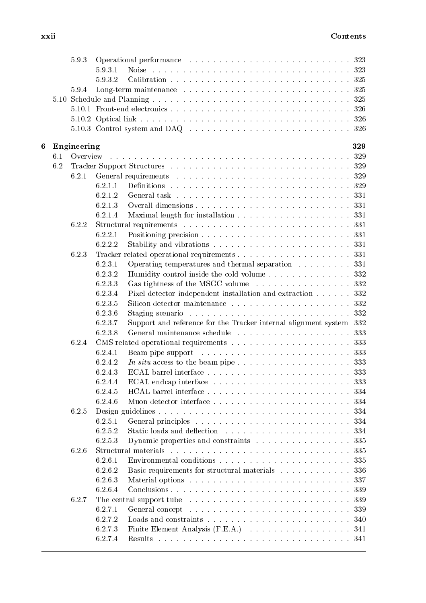|   |     | 5.9.3       |                    | Operational performance contained and such a series and series and series and series are series and series and series are series and series are series and series are series and series are series and series are series and s |     |
|---|-----|-------------|--------------------|--------------------------------------------------------------------------------------------------------------------------------------------------------------------------------------------------------------------------------|-----|
|   |     |             | 5.9.3.1            |                                                                                                                                                                                                                                |     |
|   |     |             | 5.9.3.2            |                                                                                                                                                                                                                                |     |
|   |     | 5.9.4       |                    |                                                                                                                                                                                                                                |     |
|   |     |             |                    |                                                                                                                                                                                                                                |     |
|   |     |             |                    |                                                                                                                                                                                                                                |     |
|   |     |             |                    |                                                                                                                                                                                                                                |     |
|   |     |             |                    | 5.10.3 Control system and DAQ $\ldots \ldots \ldots \ldots \ldots \ldots \ldots \ldots \ldots \ldots \ldots \ldots$                                                                                                            |     |
| 6 |     | Engineering |                    |                                                                                                                                                                                                                                | 329 |
|   | 6.1 | Overview    |                    |                                                                                                                                                                                                                                |     |
|   | 6.2 |             |                    |                                                                                                                                                                                                                                |     |
|   |     | 6.2.1       |                    |                                                                                                                                                                                                                                |     |
|   |     |             | 6.2.1.1            |                                                                                                                                                                                                                                |     |
|   |     |             | 6.2.1.2            |                                                                                                                                                                                                                                |     |
|   |     |             | 6.2.1.3            |                                                                                                                                                                                                                                |     |
|   |     |             | 6.2.1.4            |                                                                                                                                                                                                                                |     |
|   |     | 6.2.2       |                    |                                                                                                                                                                                                                                |     |
|   |     |             | 6.2.2.1            |                                                                                                                                                                                                                                |     |
|   |     |             | 6.2.2.2            |                                                                                                                                                                                                                                |     |
|   |     | 6.2.3       |                    |                                                                                                                                                                                                                                |     |
|   |     |             | 6.2.3.1            | Operating temperatures and thermal separation $\ldots \ldots \ldots$ 331                                                                                                                                                       |     |
|   |     |             | 6.2.3.2            |                                                                                                                                                                                                                                |     |
|   |     |             | 6.2.3.3            | Gas tightness of the MSGC volume 332                                                                                                                                                                                           |     |
|   |     |             | 6.2.3.4            | Pixel detector independent installation and extraction 332                                                                                                                                                                     |     |
|   |     |             | 6.2.3.5            |                                                                                                                                                                                                                                |     |
|   |     |             | 6.2.3.6            |                                                                                                                                                                                                                                | 332 |
|   |     |             | 6.2.3.7            | Support and reference for the Tracker internal alignment system 332                                                                                                                                                            |     |
|   |     |             | 6.2.3.8            |                                                                                                                                                                                                                                |     |
|   |     | 6.2.4       |                    |                                                                                                                                                                                                                                |     |
|   |     |             | 6.2.4.1            |                                                                                                                                                                                                                                |     |
|   |     |             | 6.2.4.2            |                                                                                                                                                                                                                                |     |
|   |     |             | 6.2.4.3            |                                                                                                                                                                                                                                |     |
|   |     |             | 6.2.4.4            |                                                                                                                                                                                                                                |     |
|   |     |             |                    |                                                                                                                                                                                                                                |     |
|   |     |             | 6.2.4.5<br>6.2.4.6 |                                                                                                                                                                                                                                |     |
|   |     |             |                    |                                                                                                                                                                                                                                |     |
|   |     | 6.2.5       |                    |                                                                                                                                                                                                                                | 334 |
|   |     |             | 6.2.5.1            |                                                                                                                                                                                                                                |     |
|   |     |             | 6.2.5.2            |                                                                                                                                                                                                                                |     |
|   |     |             | 6.2.5.3            | Dynamic properties and constraints 335                                                                                                                                                                                         |     |
|   |     | 6.2.6       |                    |                                                                                                                                                                                                                                | 335 |
|   |     |             | 6.2.6.1            |                                                                                                                                                                                                                                | 335 |
|   |     |             | 6.2.6.2            | Basic requirements for structural materials 336                                                                                                                                                                                |     |
|   |     |             | 6.2.6.3            |                                                                                                                                                                                                                                | 337 |
|   |     |             | 6.2.6.4            | Conclusions                                                                                                                                                                                                                    | 339 |
|   |     | 6.2.7       |                    | The central support tube $\ldots \ldots \ldots \ldots \ldots \ldots \ldots \ldots \ldots \ldots \ldots 339$                                                                                                                    |     |
|   |     |             | 6.2.7.1            |                                                                                                                                                                                                                                | 339 |
|   |     |             | 6.2.7.2            |                                                                                                                                                                                                                                | 340 |
|   |     |             | 6.2.7.3            |                                                                                                                                                                                                                                |     |
|   |     |             | 6.2.7.4            |                                                                                                                                                                                                                                |     |
|   |     |             |                    |                                                                                                                                                                                                                                |     |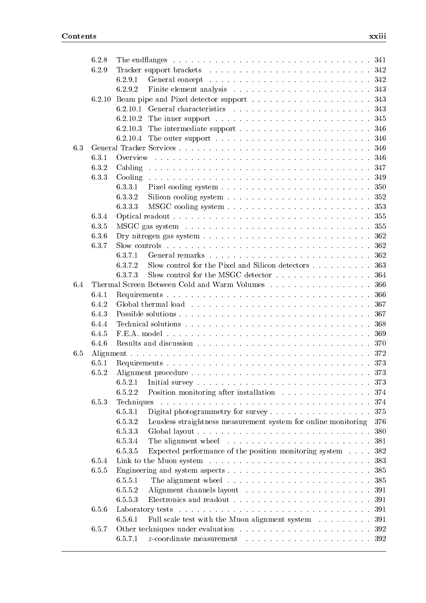|     | 6.2.8 |                                                                                                                                                                                                                                            |
|-----|-------|--------------------------------------------------------------------------------------------------------------------------------------------------------------------------------------------------------------------------------------------|
|     | 6.2.9 |                                                                                                                                                                                                                                            |
|     |       | 6.2.9.1                                                                                                                                                                                                                                    |
|     |       | 6.2.9.2                                                                                                                                                                                                                                    |
|     |       |                                                                                                                                                                                                                                            |
|     |       | 6.2.10.1<br>General characteristics (and all contained a set of the set of the set of the set of the set of the set of the set of the set of the set of the set of the set of the set of the set of the set of the set of the set of the s |
|     |       | 6.2.10.2<br>345                                                                                                                                                                                                                            |
|     |       | The intermediate support $\dots \dots \dots \dots \dots \dots \dots \dots \dots \dots$ 346<br>6.2.10.3                                                                                                                                     |
|     |       | 6.2.10.4<br>The outer support $\dots \dots \dots \dots \dots \dots \dots \dots \dots \dots 346$                                                                                                                                            |
| 6.3 |       |                                                                                                                                                                                                                                            |
|     | 6.3.1 | Overview<br>346                                                                                                                                                                                                                            |
|     | 6.3.2 | 347                                                                                                                                                                                                                                        |
|     | 6.3.3 | 349                                                                                                                                                                                                                                        |
|     |       | 6.3.3.1<br>350                                                                                                                                                                                                                             |
|     |       | 6.3.3.2<br>Silicon cooling system $\ldots \ldots \ldots \ldots \ldots \ldots \ldots \ldots \ldots 352$                                                                                                                                     |
|     |       | 6.3.3.3<br>353                                                                                                                                                                                                                             |
|     | 6.3.4 | 355                                                                                                                                                                                                                                        |
|     | 6.3.5 | 355                                                                                                                                                                                                                                        |
|     | 6.3.6 | 362                                                                                                                                                                                                                                        |
|     | 6.3.7 | Slow controls $\ldots \ldots \ldots \ldots \ldots \ldots \ldots \ldots \ldots \ldots \ldots$<br>362                                                                                                                                        |
|     |       | 362<br>6.3.7.1                                                                                                                                                                                                                             |
|     |       | 6.3.7.2<br>Slow control for the Pixel and Silicon detectors $\dots \dots \dots$<br>363                                                                                                                                                     |
|     |       | Slow control for the MSGC detector $\dots \dots \dots \dots \dots \dots$<br>6.3.7.3<br>364                                                                                                                                                 |
| 6.4 |       | Thermal Screen Between Cold and Warm Volumes 366                                                                                                                                                                                           |
|     | 6.4.1 | 366                                                                                                                                                                                                                                        |
|     | 6.4.2 | 367                                                                                                                                                                                                                                        |
|     | 6.4.3 | 367                                                                                                                                                                                                                                        |
|     | 6.4.4 | 368                                                                                                                                                                                                                                        |
|     | 6.4.5 |                                                                                                                                                                                                                                            |
|     | 6.4.6 | 369                                                                                                                                                                                                                                        |
|     |       | 370                                                                                                                                                                                                                                        |
| 6.5 |       |                                                                                                                                                                                                                                            |
|     | 6.5.1 | 373                                                                                                                                                                                                                                        |
|     | 6.5.2 | 373                                                                                                                                                                                                                                        |
|     |       | 6.5.2.1                                                                                                                                                                                                                                    |
|     |       | Position monitoring after installation 374<br>6.5.2.2                                                                                                                                                                                      |
|     | 6.5.3 | Techniques<br>374                                                                                                                                                                                                                          |
|     |       | Digital photogrammetry for survey<br>6.5.3.1<br>375                                                                                                                                                                                        |
|     |       | 6.5.3.2<br>Lensless straightness measurement system for online monitoring<br>376                                                                                                                                                           |
|     |       | 6.5.3.3<br>380                                                                                                                                                                                                                             |
|     |       | 6.5.3.4<br>381                                                                                                                                                                                                                             |
|     |       | Expected performance of the position monitoring system<br>6.5.3.5<br>382                                                                                                                                                                   |
|     | 6.5.4 | 383                                                                                                                                                                                                                                        |
|     | 6.5.5 | 385                                                                                                                                                                                                                                        |
|     |       | 6.5.5.1<br>The alignment wheel $\ldots \ldots \ldots \ldots \ldots \ldots \ldots \ldots$<br>385                                                                                                                                            |
|     |       | 6.5.5.2<br>391                                                                                                                                                                                                                             |
|     |       | 6.5.5.3<br>391                                                                                                                                                                                                                             |
|     | 6.5.6 | 391                                                                                                                                                                                                                                        |
|     |       | Full scale test with the Muon alignment system $\;\ldots\; \ldots\; \ldots\; \ldots$<br>6.5.6.1<br>391                                                                                                                                     |
|     | 6.5.7 | 392                                                                                                                                                                                                                                        |
|     |       | 6.5.7.1                                                                                                                                                                                                                                    |
|     |       |                                                                                                                                                                                                                                            |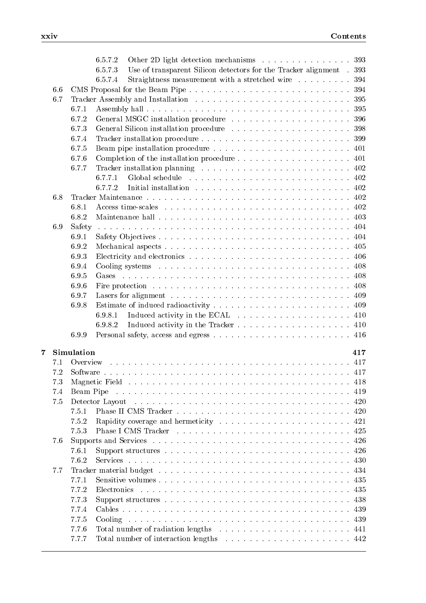|               | 6.5.7.2<br>393                                                                                                                                                                                                                       |
|---------------|--------------------------------------------------------------------------------------------------------------------------------------------------------------------------------------------------------------------------------------|
|               | 6.5.7.3<br>Use of transparent Silicon detectors for the Tracker alignment.<br>393                                                                                                                                                    |
|               | 6.5.7.4<br>Straightness measurement with a stretched wire<br>394                                                                                                                                                                     |
| 6.6           | 394                                                                                                                                                                                                                                  |
| 6.7           | 395                                                                                                                                                                                                                                  |
| 6.7.1         | 395                                                                                                                                                                                                                                  |
| 6.7.2         | 396                                                                                                                                                                                                                                  |
| 6.7.3         | 398                                                                                                                                                                                                                                  |
| 6.7.4         | 399                                                                                                                                                                                                                                  |
| 6.7.5         | 401                                                                                                                                                                                                                                  |
| 6.7.6         | Completion of the installation procedure<br>401                                                                                                                                                                                      |
| 6.7.7         | 402                                                                                                                                                                                                                                  |
|               | 6.7.7.1<br>402                                                                                                                                                                                                                       |
|               | 6.7.7.2<br>402                                                                                                                                                                                                                       |
| 6.8           | 402                                                                                                                                                                                                                                  |
| 6.8.1         | 402                                                                                                                                                                                                                                  |
| 6.8.2         | 403                                                                                                                                                                                                                                  |
| Safety<br>6.9 | 404                                                                                                                                                                                                                                  |
| 6.9.1         | 404                                                                                                                                                                                                                                  |
| 6.9.2         | 405                                                                                                                                                                                                                                  |
| 6.9.3         | 406                                                                                                                                                                                                                                  |
| 6.9.4         | 408                                                                                                                                                                                                                                  |
| 6.9.5         | 408                                                                                                                                                                                                                                  |
| 6.9.6         | 408                                                                                                                                                                                                                                  |
| 6.9.7         | 409                                                                                                                                                                                                                                  |
| 6.9.8         | 409                                                                                                                                                                                                                                  |
|               | 410<br>6.9.8.1                                                                                                                                                                                                                       |
|               | 6.9.8.2<br>410                                                                                                                                                                                                                       |
| 6.9.9         | 416                                                                                                                                                                                                                                  |
|               |                                                                                                                                                                                                                                      |
| Simulation    | 417                                                                                                                                                                                                                                  |
| 7.1           | 417<br>Overview                                                                                                                                                                                                                      |
| 7.2           |                                                                                                                                                                                                                                      |
| 7.3           | Magnetic Field research research research research research research research research research research research research research research research research research research research research research research research<br>418 |
| 7.4           | .<br>The contract of the contract of the contract of the contract of the contract of the contract of the contract of<br>419<br>Beam Pipe                                                                                             |
| 7.5           | 420                                                                                                                                                                                                                                  |
| 7.5.1         | 420                                                                                                                                                                                                                                  |
| 7.5.2         | 421                                                                                                                                                                                                                                  |
| 7.5.3         | 425                                                                                                                                                                                                                                  |
| 7.6           | 426                                                                                                                                                                                                                                  |
| 7.6.1         | 426                                                                                                                                                                                                                                  |
| 7.6.2         | 430                                                                                                                                                                                                                                  |
|               | 434                                                                                                                                                                                                                                  |
| 7.7           | 435                                                                                                                                                                                                                                  |
| 7.7.1         | Sensitive volumes                                                                                                                                                                                                                    |
| 7.7.2         | 435<br>Electronics                                                                                                                                                                                                                   |
| 7.7.3         | 438                                                                                                                                                                                                                                  |
| 7.7.4         | 439                                                                                                                                                                                                                                  |
| 7.7.5         | 439                                                                                                                                                                                                                                  |
| 7.7.6         | 441                                                                                                                                                                                                                                  |
| 7.7.7         | 442                                                                                                                                                                                                                                  |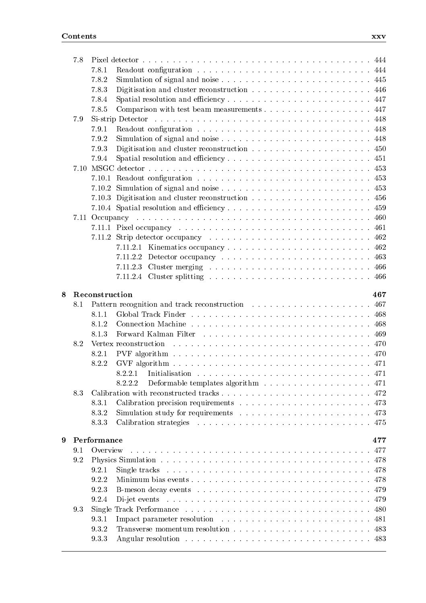|   | 7.8 |                |                                                                                                                                         |  |
|---|-----|----------------|-----------------------------------------------------------------------------------------------------------------------------------------|--|
|   |     | 7.8.1          |                                                                                                                                         |  |
|   |     | 7.8.2          |                                                                                                                                         |  |
|   |     | 7.8.3          |                                                                                                                                         |  |
|   |     | 7.8.4          |                                                                                                                                         |  |
|   |     | 7.8.5          | Comparison with test beam measurements 447                                                                                              |  |
|   | 7.9 |                | 448                                                                                                                                     |  |
|   |     | 7.9.1          | 448                                                                                                                                     |  |
|   |     | 7.9.2          | 448                                                                                                                                     |  |
|   |     | 7.9.3          | 450                                                                                                                                     |  |
|   |     | 7.9.4          |                                                                                                                                         |  |
|   |     |                | 453                                                                                                                                     |  |
|   |     |                | 453                                                                                                                                     |  |
|   |     |                | 453                                                                                                                                     |  |
|   |     |                | 456                                                                                                                                     |  |
|   |     |                | 459                                                                                                                                     |  |
|   |     |                | 460                                                                                                                                     |  |
|   |     |                | 461                                                                                                                                     |  |
|   |     |                |                                                                                                                                         |  |
|   |     |                | 462                                                                                                                                     |  |
|   |     |                | 462                                                                                                                                     |  |
|   |     |                | 463<br>7.11.2.2                                                                                                                         |  |
|   |     |                | 7.11.2.3                                                                                                                                |  |
|   |     |                |                                                                                                                                         |  |
| g |     | Reconstruction | 467                                                                                                                                     |  |
|   |     |                |                                                                                                                                         |  |
|   |     |                |                                                                                                                                         |  |
|   | 8.1 |                | 467                                                                                                                                     |  |
|   |     | 8.1.1          |                                                                                                                                         |  |
|   |     | 8.1.2          | -468                                                                                                                                    |  |
|   |     | 8.1.3          | 469                                                                                                                                     |  |
|   | 8.2 |                | 470<br>Vertex reconstruction<br>a de la caractería de la caractería de la caractería de la caractería de la caractería de la caractería |  |
|   |     | 8.2.1          | 470                                                                                                                                     |  |
|   |     | 8.2.2          |                                                                                                                                         |  |
|   |     |                | 8.2.2.1<br>471                                                                                                                          |  |
|   |     |                | 8.2.2.2<br>Deformable templates algorithm $\ldots \ldots \ldots \ldots \ldots \ldots$ 471                                               |  |
|   | 8.3 |                |                                                                                                                                         |  |
|   |     | 8.3.1          |                                                                                                                                         |  |
|   |     | 8.3.2          |                                                                                                                                         |  |
|   |     | 8.3.3          | -475                                                                                                                                    |  |
| 9 |     |                |                                                                                                                                         |  |
|   |     | Performance    | 477                                                                                                                                     |  |
|   | 9.1 | Overview       | 477                                                                                                                                     |  |
|   | 9.2 |                | 478                                                                                                                                     |  |
|   |     | 9.2.1          | 478                                                                                                                                     |  |
|   |     | 9.2.2          | Minimum bias events<br>478                                                                                                              |  |
|   |     | 9.2.3          | 479                                                                                                                                     |  |
|   |     | 9.2.4          | 479                                                                                                                                     |  |
|   | 9.3 |                | 480                                                                                                                                     |  |
|   |     | 9.3.1          | 481                                                                                                                                     |  |
|   |     | 9.3.2<br>9.3.3 | 483                                                                                                                                     |  |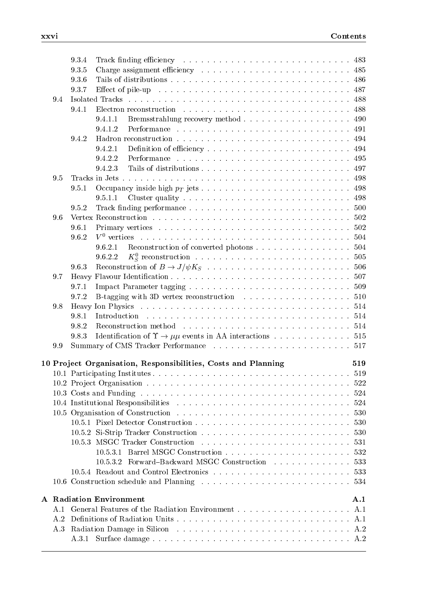|     | 9.3.4 | Track finding efficiency resolution of the contract of the set of the set of the set of the set of the set of the set of the set of the set of the set of the set of the set of the set of the set of the set of the set of th |     |
|-----|-------|--------------------------------------------------------------------------------------------------------------------------------------------------------------------------------------------------------------------------------|-----|
|     | 9.3.5 |                                                                                                                                                                                                                                |     |
|     | 9.3.6 |                                                                                                                                                                                                                                |     |
|     | 9.3.7 | Effect of pile-up respective resonance in the set of pile-up in the set of pile-up in the set of $187$                                                                                                                         |     |
| 9.4 |       |                                                                                                                                                                                                                                |     |
|     | 9.4.1 |                                                                                                                                                                                                                                |     |
|     |       | 9.4.1.1<br>Bremsstrahlung recovery method 490                                                                                                                                                                                  |     |
|     |       | 9.4.1.2                                                                                                                                                                                                                        |     |
|     | 9.4.2 |                                                                                                                                                                                                                                |     |
|     |       | 9.4.2.1                                                                                                                                                                                                                        |     |
|     |       | 9.4.2.2                                                                                                                                                                                                                        |     |
|     |       | 9.4.2.3                                                                                                                                                                                                                        |     |
| 9.5 |       |                                                                                                                                                                                                                                |     |
|     | 9.5.1 |                                                                                                                                                                                                                                |     |
|     |       | 9.5.1.1                                                                                                                                                                                                                        |     |
|     | 9.5.2 |                                                                                                                                                                                                                                |     |
| 9.6 |       |                                                                                                                                                                                                                                |     |
|     | 9.6.1 |                                                                                                                                                                                                                                |     |
|     | 9.6.2 |                                                                                                                                                                                                                                |     |
|     |       | 9.6.2.1                                                                                                                                                                                                                        |     |
|     |       | 9.6.2.2                                                                                                                                                                                                                        |     |
|     | 9.6.3 |                                                                                                                                                                                                                                |     |
| 9.7 |       |                                                                                                                                                                                                                                |     |
|     | 9.7.1 |                                                                                                                                                                                                                                |     |
|     | 9.7.2 |                                                                                                                                                                                                                                |     |
| 9.8 |       |                                                                                                                                                                                                                                |     |
|     | 9.8.1 |                                                                                                                                                                                                                                |     |
|     | 9.8.2 |                                                                                                                                                                                                                                |     |
|     | 9.8.3 | Identification of $\Upsilon \rightarrow \mu\mu$ events in AA interactions 515                                                                                                                                                  |     |
| 9.9 |       |                                                                                                                                                                                                                                |     |
|     |       |                                                                                                                                                                                                                                |     |
|     |       | 10 Project Organisation, Responsibilities, Costs and Planning                                                                                                                                                                  | 519 |
|     |       |                                                                                                                                                                                                                                | 519 |
|     |       |                                                                                                                                                                                                                                |     |
|     |       |                                                                                                                                                                                                                                |     |
|     |       |                                                                                                                                                                                                                                |     |
|     |       |                                                                                                                                                                                                                                |     |
|     |       |                                                                                                                                                                                                                                |     |
|     |       |                                                                                                                                                                                                                                |     |
|     |       |                                                                                                                                                                                                                                |     |
|     |       |                                                                                                                                                                                                                                |     |
|     |       | 10.5.3.2 Forward–Backward MSGC Construction  533                                                                                                                                                                               |     |
|     |       |                                                                                                                                                                                                                                |     |
|     |       |                                                                                                                                                                                                                                |     |
|     |       | <b>A</b> Radiation Environment                                                                                                                                                                                                 | A.1 |
| A.1 |       |                                                                                                                                                                                                                                |     |
| A.2 |       |                                                                                                                                                                                                                                |     |
| A.3 |       |                                                                                                                                                                                                                                |     |
|     | A.3.1 |                                                                                                                                                                                                                                |     |
|     |       |                                                                                                                                                                                                                                |     |